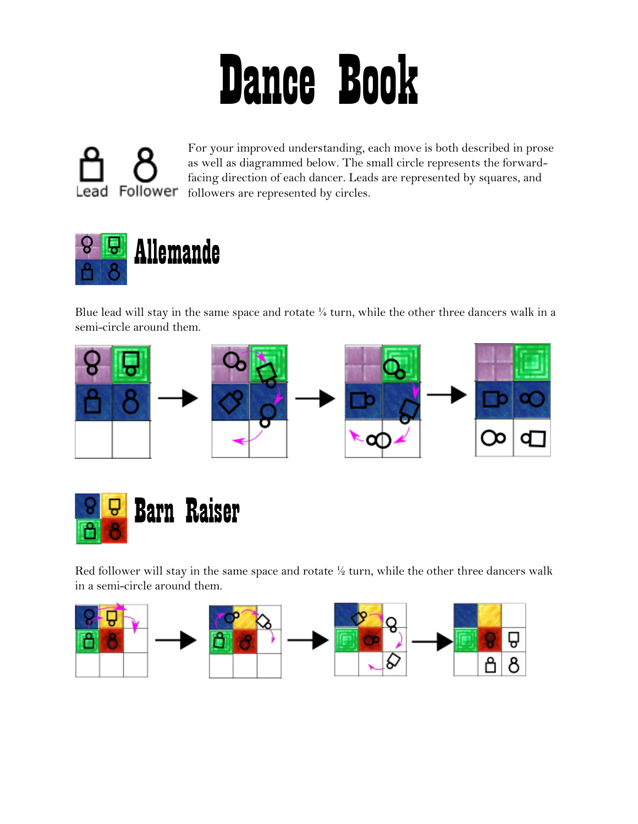## Dance Book

For your improved understanding, each move is both described in prose as well as diagrammed below. The small circle represents the forwardfacing direction of each dancer. Leads are represented by squares, and Lead Follower followers are represented by circles.



Blue lead will stay in the same space and rotate ¼ turn, while the other three dancers walk in a semi-circle around them.





Red follower will stay in the same space and rotate  $\frac{1}{2}$  turn, while the other three dancers walk in a semi-circle around them.

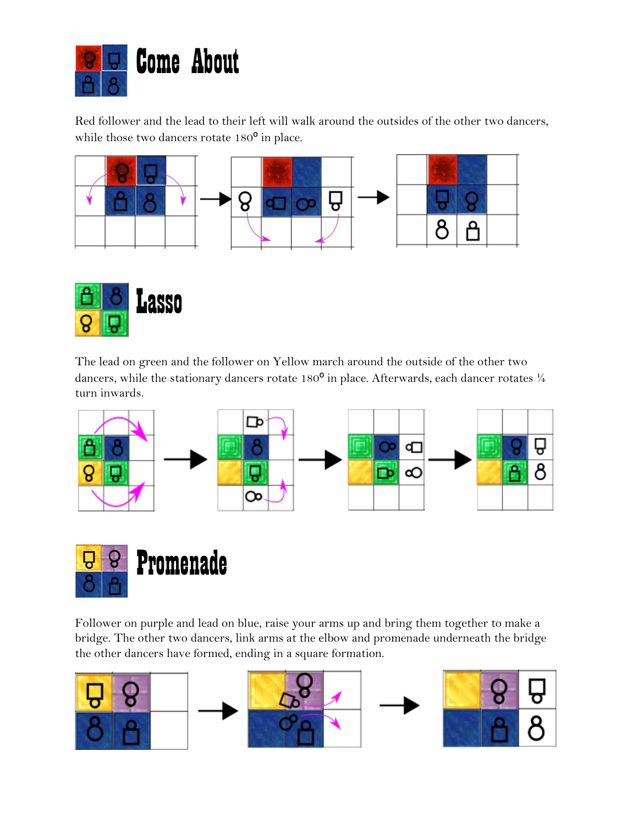

Red follower and the lead to their left will walk around the outsides of the other two dancers, while those two dancers rotate  $180^{\circ}$  in place.





The lead on green and the follower on Yellow march around the outside of the other two dancers, while the stationary dancers rotate 180 $^{\circ}$  in place. Afterwards, each dancer rotates  $\frac{1}{4}$ turn inwards.





Follower on purple and lead on blue, raise your arms up and bring them together to make a bridge. The other two dancers, link arms at the elbow and promenade underneath the bridge the other dancers have formed, ending in a square formation.